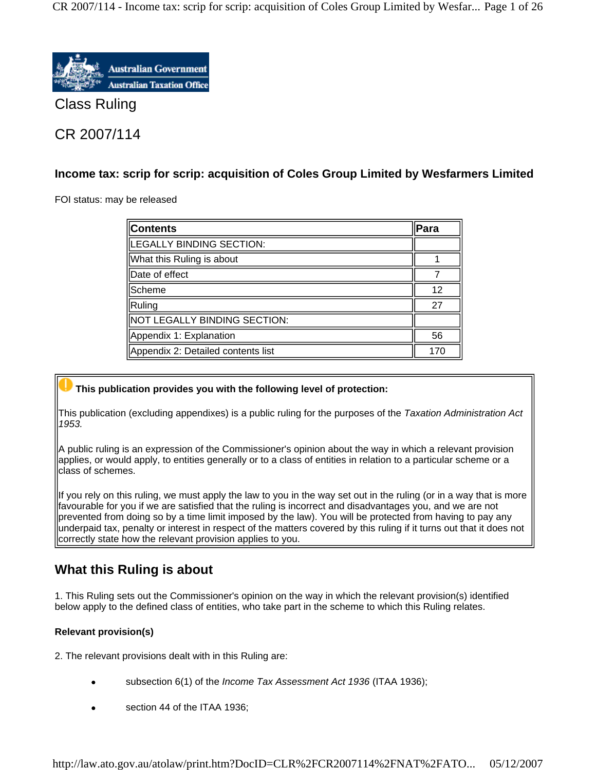CR 2007/114 - Income tax: scrip for scrip: acquisition of Coles Group Limited by Wesfar... Page 1 of 26



Class Ruling

# CR 2007/114

## **Income tax: scrip for scrip: acquisition of Coles Group Limited by Wesfarmers Limited**

FOI status: may be released

| Contents                           | Para |
|------------------------------------|------|
| LEGALLY BINDING SECTION:           |      |
| What this Ruling is about          |      |
| Date of effect                     |      |
| Scheme                             | 12   |
| Ruling                             | 27   |
| NOT LEGALLY BINDING SECTION:       |      |
| Appendix 1: Explanation            | 56   |
| Appendix 2: Detailed contents list | 170  |

## **This publication provides you with the following level of protection:**

This publication (excluding appendixes) is a public ruling for the purposes of the *Taxation Administration Act 1953.*

A public ruling is an expression of the Commissioner's opinion about the way in which a relevant provision applies, or would apply, to entities generally or to a class of entities in relation to a particular scheme or a class of schemes.

If you rely on this ruling, we must apply the law to you in the way set out in the ruling (or in a way that is more favourable for you if we are satisfied that the ruling is incorrect and disadvantages you, and we are not prevented from doing so by a time limit imposed by the law). You will be protected from having to pay any underpaid tax, penalty or interest in respect of the matters covered by this ruling if it turns out that it does not correctly state how the relevant provision applies to you.

# **What this Ruling is about**

1. This Ruling sets out the Commissioner's opinion on the way in which the relevant provision(s) identified below apply to the defined class of entities, who take part in the scheme to which this Ruling relates.

## **Relevant provision(s)**

2. The relevant provisions dealt with in this Ruling are:

- subsection 6(1) of the *Income Tax Assessment Act 1936* (ITAA 1936);
- section 44 of the ITAA 1936;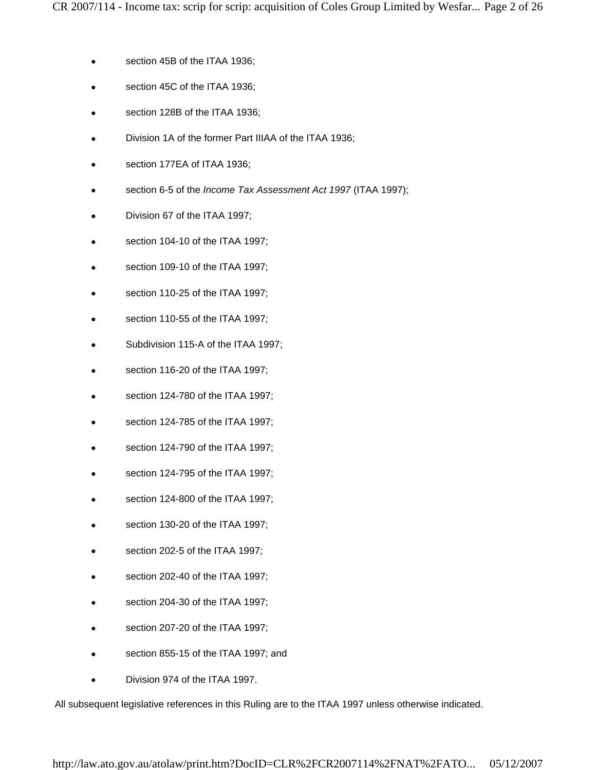- section 45B of the ITAA 1936;
- section 45C of the ITAA 1936;
- section 128B of the ITAA 1936;
- Division 1A of the former Part IIIAA of the ITAA 1936;
- section 177EA of ITAA 1936;
- section 6-5 of the *Income Tax Assessment Act 1997* (ITAA 1997);
- Division 67 of the ITAA 1997;
- section 104-10 of the ITAA 1997;
- section 109-10 of the ITAA 1997;
- section 110-25 of the ITAA 1997;
- section 110-55 of the ITAA 1997;
- Subdivision 115-A of the ITAA 1997;
- section 116-20 of the ITAA 1997;
- section 124-780 of the ITAA 1997;
- section 124-785 of the ITAA 1997;
- section 124-790 of the ITAA 1997;
- section 124-795 of the ITAA 1997;
- section 124-800 of the ITAA 1997;
- section 130-20 of the ITAA 1997;
- section 202-5 of the ITAA 1997;
- section 202-40 of the ITAA 1997;
- section 204-30 of the ITAA 1997;
- section 207-20 of the ITAA 1997;
- section 855-15 of the ITAA 1997; and
- Division 974 of the ITAA 1997.

All subsequent legislative references in this Ruling are to the ITAA 1997 unless otherwise indicated.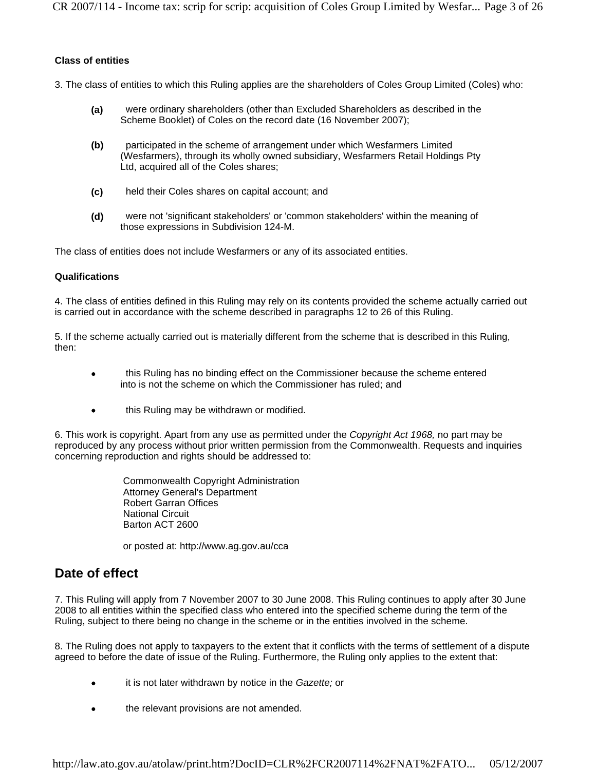CR 2007/114 - Income tax: scrip for scrip: acquisition of Coles Group Limited by Wesfar... Page 3 of 26

#### **Class of entities**

3. The class of entities to which this Ruling applies are the shareholders of Coles Group Limited (Coles) who:

- **(a)** were ordinary shareholders (other than Excluded Shareholders as described in the Scheme Booklet) of Coles on the record date (16 November 2007);
- **(b)** participated in the scheme of arrangement under which Wesfarmers Limited (Wesfarmers), through its wholly owned subsidiary, Wesfarmers Retail Holdings Pty Ltd, acquired all of the Coles shares;
- **(c)** held their Coles shares on capital account; and
- **(d)** were not 'significant stakeholders' or 'common stakeholders' within the meaning of those expressions in Subdivision 124-M.

The class of entities does not include Wesfarmers or any of its associated entities.

#### **Qualifications**

4. The class of entities defined in this Ruling may rely on its contents provided the scheme actually carried out is carried out in accordance with the scheme described in paragraphs 12 to 26 of this Ruling.

5. If the scheme actually carried out is materially different from the scheme that is described in this Ruling, then:

- this Ruling has no binding effect on the Commissioner because the scheme entered into is not the scheme on which the Commissioner has ruled; and
- this Ruling may be withdrawn or modified.

6. This work is copyright. Apart from any use as permitted under the *Copyright Act 1968,* no part may be reproduced by any process without prior written permission from the Commonwealth. Requests and inquiries concerning reproduction and rights should be addressed to:

> Commonwealth Copyright Administration Attorney General's Department Robert Garran Offices National Circuit Barton ACT 2600

or posted at: http://www.ag.gov.au/cca

## **Date of effect**

7. This Ruling will apply from 7 November 2007 to 30 June 2008. This Ruling continues to apply after 30 June 2008 to all entities within the specified class who entered into the specified scheme during the term of the Ruling, subject to there being no change in the scheme or in the entities involved in the scheme.

8. The Ruling does not apply to taxpayers to the extent that it conflicts with the terms of settlement of a dispute agreed to before the date of issue of the Ruling. Furthermore, the Ruling only applies to the extent that:

- it is not later withdrawn by notice in the *Gazette;* or
- the relevant provisions are not amended.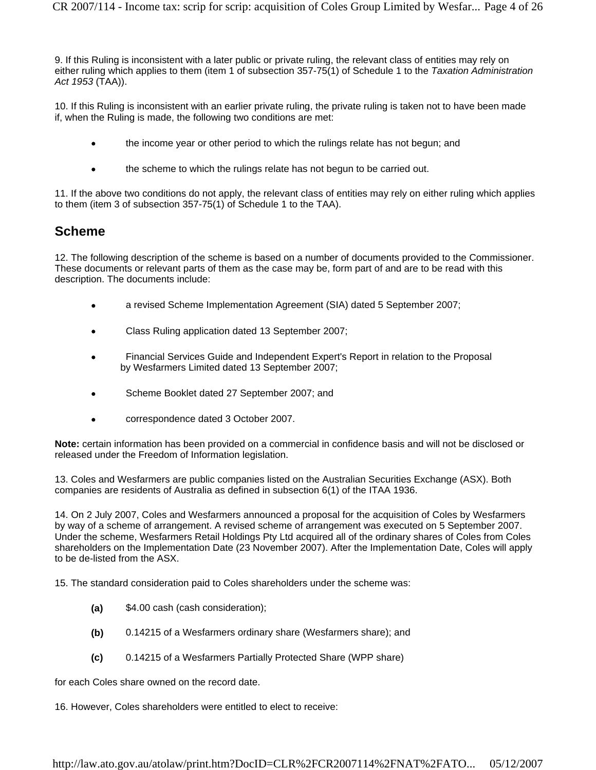9. If this Ruling is inconsistent with a later public or private ruling, the relevant class of entities may rely on either ruling which applies to them (item 1 of subsection 357-75(1) of Schedule 1 to the *Taxation Administration Act 1953* (TAA)).

10. If this Ruling is inconsistent with an earlier private ruling, the private ruling is taken not to have been made if, when the Ruling is made, the following two conditions are met:

- the income year or other period to which the rulings relate has not begun; and
- the scheme to which the rulings relate has not begun to be carried out.

11. If the above two conditions do not apply, the relevant class of entities may rely on either ruling which applies to them (item 3 of subsection 357-75(1) of Schedule 1 to the TAA).

## **Scheme**

12. The following description of the scheme is based on a number of documents provided to the Commissioner. These documents or relevant parts of them as the case may be, form part of and are to be read with this description. The documents include:

- a revised Scheme Implementation Agreement (SIA) dated 5 September 2007;
- Class Ruling application dated 13 September 2007;
- Financial Services Guide and Independent Expert's Report in relation to the Proposal by Wesfarmers Limited dated 13 September 2007;
- Scheme Booklet dated 27 September 2007; and
- correspondence dated 3 October 2007.

**Note:** certain information has been provided on a commercial in confidence basis and will not be disclosed or released under the Freedom of Information legislation.

13. Coles and Wesfarmers are public companies listed on the Australian Securities Exchange (ASX). Both companies are residents of Australia as defined in subsection 6(1) of the ITAA 1936.

14. On 2 July 2007, Coles and Wesfarmers announced a proposal for the acquisition of Coles by Wesfarmers by way of a scheme of arrangement. A revised scheme of arrangement was executed on 5 September 2007. Under the scheme, Wesfarmers Retail Holdings Pty Ltd acquired all of the ordinary shares of Coles from Coles shareholders on the Implementation Date (23 November 2007). After the Implementation Date, Coles will apply to be de-listed from the ASX.

15. The standard consideration paid to Coles shareholders under the scheme was:

- **(a)** \$4.00 cash (cash consideration);
- **(b)** 0.14215 of a Wesfarmers ordinary share (Wesfarmers share); and
- **(c)** 0.14215 of a Wesfarmers Partially Protected Share (WPP share)

for each Coles share owned on the record date.

16. However, Coles shareholders were entitled to elect to receive: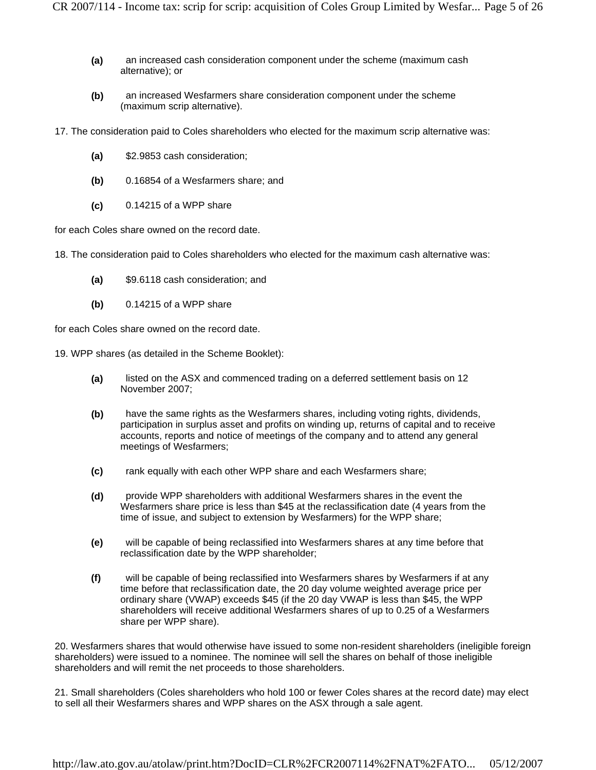- **(a)** an increased cash consideration component under the scheme (maximum cash alternative); or
- **(b)** an increased Wesfarmers share consideration component under the scheme (maximum scrip alternative).
- 17. The consideration paid to Coles shareholders who elected for the maximum scrip alternative was:
	- **(a)** \$2.9853 cash consideration;
	- **(b)** 0.16854 of a Wesfarmers share; and
	- **(c)** 0.14215 of a WPP share

for each Coles share owned on the record date.

18. The consideration paid to Coles shareholders who elected for the maximum cash alternative was:

- **(a)** \$9.6118 cash consideration; and
- **(b)** 0.14215 of a WPP share

for each Coles share owned on the record date.

19. WPP shares (as detailed in the Scheme Booklet):

- **(a)** listed on the ASX and commenced trading on a deferred settlement basis on 12 November 2007;
- **(b)** have the same rights as the Wesfarmers shares, including voting rights, dividends, participation in surplus asset and profits on winding up, returns of capital and to receive accounts, reports and notice of meetings of the company and to attend any general meetings of Wesfarmers;
- **(c)** rank equally with each other WPP share and each Wesfarmers share;
- **(d)** provide WPP shareholders with additional Wesfarmers shares in the event the Wesfarmers share price is less than \$45 at the reclassification date (4 years from the time of issue, and subject to extension by Wesfarmers) for the WPP share;
- **(e)** will be capable of being reclassified into Wesfarmers shares at any time before that reclassification date by the WPP shareholder;
- **(f)** will be capable of being reclassified into Wesfarmers shares by Wesfarmers if at any time before that reclassification date, the 20 day volume weighted average price per ordinary share (VWAP) exceeds \$45 (if the 20 day VWAP is less than \$45, the WPP shareholders will receive additional Wesfarmers shares of up to 0.25 of a Wesfarmers share per WPP share).

20. Wesfarmers shares that would otherwise have issued to some non-resident shareholders (ineligible foreign shareholders) were issued to a nominee. The nominee will sell the shares on behalf of those ineligible shareholders and will remit the net proceeds to those shareholders.

21. Small shareholders (Coles shareholders who hold 100 or fewer Coles shares at the record date) may elect to sell all their Wesfarmers shares and WPP shares on the ASX through a sale agent.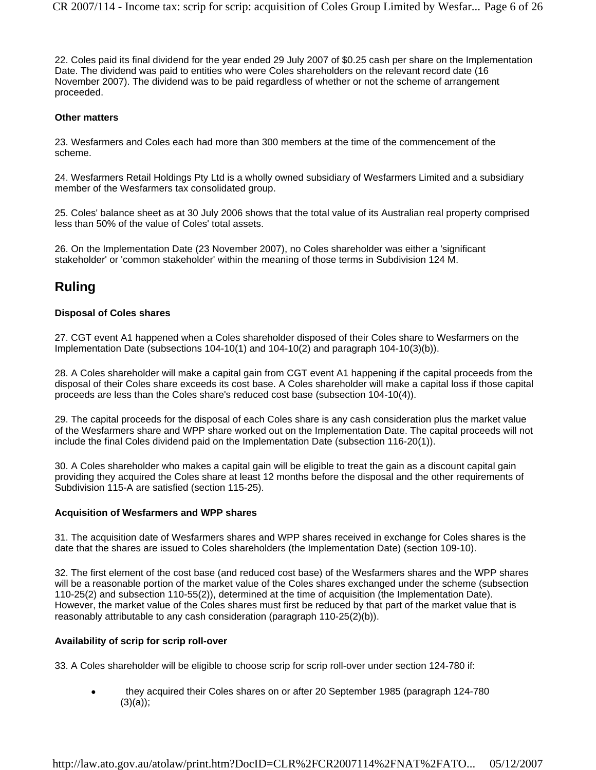22. Coles paid its final dividend for the year ended 29 July 2007 of \$0.25 cash per share on the Implementation Date. The dividend was paid to entities who were Coles shareholders on the relevant record date (16 November 2007). The dividend was to be paid regardless of whether or not the scheme of arrangement proceeded.

#### **Other matters**

23. Wesfarmers and Coles each had more than 300 members at the time of the commencement of the scheme.

24. Wesfarmers Retail Holdings Pty Ltd is a wholly owned subsidiary of Wesfarmers Limited and a subsidiary member of the Wesfarmers tax consolidated group.

25. Coles' balance sheet as at 30 July 2006 shows that the total value of its Australian real property comprised less than 50% of the value of Coles' total assets.

26. On the Implementation Date (23 November 2007), no Coles shareholder was either a 'significant stakeholder' or 'common stakeholder' within the meaning of those terms in Subdivision 124 M.

## **Ruling**

#### **Disposal of Coles shares**

27. CGT event A1 happened when a Coles shareholder disposed of their Coles share to Wesfarmers on the Implementation Date (subsections  $104-10(1)$  and  $104-10(2)$  and paragraph  $104-10(3)(b)$ ).

28. A Coles shareholder will make a capital gain from CGT event A1 happening if the capital proceeds from the disposal of their Coles share exceeds its cost base. A Coles shareholder will make a capital loss if those capital proceeds are less than the Coles share's reduced cost base (subsection 104-10(4)).

29. The capital proceeds for the disposal of each Coles share is any cash consideration plus the market value of the Wesfarmers share and WPP share worked out on the Implementation Date. The capital proceeds will not include the final Coles dividend paid on the Implementation Date (subsection 116-20(1)).

30. A Coles shareholder who makes a capital gain will be eligible to treat the gain as a discount capital gain providing they acquired the Coles share at least 12 months before the disposal and the other requirements of Subdivision 115-A are satisfied (section 115-25).

#### **Acquisition of Wesfarmers and WPP shares**

31. The acquisition date of Wesfarmers shares and WPP shares received in exchange for Coles shares is the date that the shares are issued to Coles shareholders (the Implementation Date) (section 109-10).

32. The first element of the cost base (and reduced cost base) of the Wesfarmers shares and the WPP shares will be a reasonable portion of the market value of the Coles shares exchanged under the scheme (subsection 110-25(2) and subsection 110-55(2)), determined at the time of acquisition (the Implementation Date). However, the market value of the Coles shares must first be reduced by that part of the market value that is reasonably attributable to any cash consideration (paragraph 110-25(2)(b)).

### **Availability of scrip for scrip roll-over**

33. A Coles shareholder will be eligible to choose scrip for scrip roll-over under section 124-780 if:

• they acquired their Coles shares on or after 20 September 1985 (paragraph 124-780) (3)(a));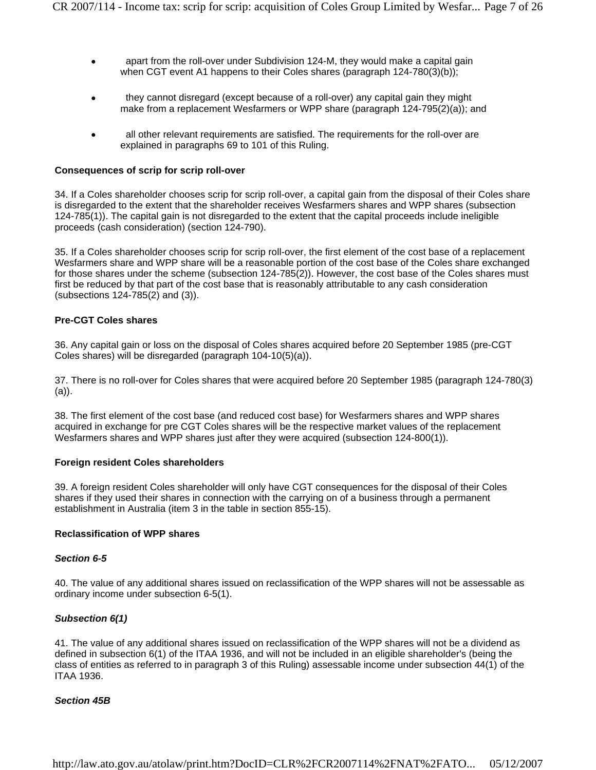- apart from the roll-over under Subdivision 124-M, they would make a capital gain when CGT event A1 happens to their Coles shares (paragraph 124-780(3)(b));
- they cannot disregard (except because of a roll-over) any capital gain they might make from a replacement Wesfarmers or WPP share (paragraph 124-795(2)(a)); and
- all other relevant requirements are satisfied. The requirements for the roll-over are explained in paragraphs 69 to 101 of this Ruling.

#### **Consequences of scrip for scrip roll-over**

34. If a Coles shareholder chooses scrip for scrip roll-over, a capital gain from the disposal of their Coles share is disregarded to the extent that the shareholder receives Wesfarmers shares and WPP shares (subsection 124-785(1)). The capital gain is not disregarded to the extent that the capital proceeds include ineligible proceeds (cash consideration) (section 124-790).

35. If a Coles shareholder chooses scrip for scrip roll-over, the first element of the cost base of a replacement Wesfarmers share and WPP share will be a reasonable portion of the cost base of the Coles share exchanged for those shares under the scheme (subsection 124-785(2)). However, the cost base of the Coles shares must first be reduced by that part of the cost base that is reasonably attributable to any cash consideration (subsections 124-785(2) and (3)).

#### **Pre-CGT Coles shares**

36. Any capital gain or loss on the disposal of Coles shares acquired before 20 September 1985 (pre-CGT Coles shares) will be disregarded (paragraph 104-10(5)(a)).

37. There is no roll-over for Coles shares that were acquired before 20 September 1985 (paragraph 124-780(3) (a)).

38. The first element of the cost base (and reduced cost base) for Wesfarmers shares and WPP shares acquired in exchange for pre CGT Coles shares will be the respective market values of the replacement Wesfarmers shares and WPP shares just after they were acquired (subsection 124-800(1)).

#### **Foreign resident Coles shareholders**

39. A foreign resident Coles shareholder will only have CGT consequences for the disposal of their Coles shares if they used their shares in connection with the carrying on of a business through a permanent establishment in Australia (item 3 in the table in section 855-15).

#### **Reclassification of WPP shares**

#### *Section 6-5*

40. The value of any additional shares issued on reclassification of the WPP shares will not be assessable as ordinary income under subsection 6-5(1).

#### *Subsection 6(1)*

41. The value of any additional shares issued on reclassification of the WPP shares will not be a dividend as defined in subsection 6(1) of the ITAA 1936, and will not be included in an eligible shareholder's (being the class of entities as referred to in paragraph 3 of this Ruling) assessable income under subsection 44(1) of the ITAA 1936.

#### *Section 45B*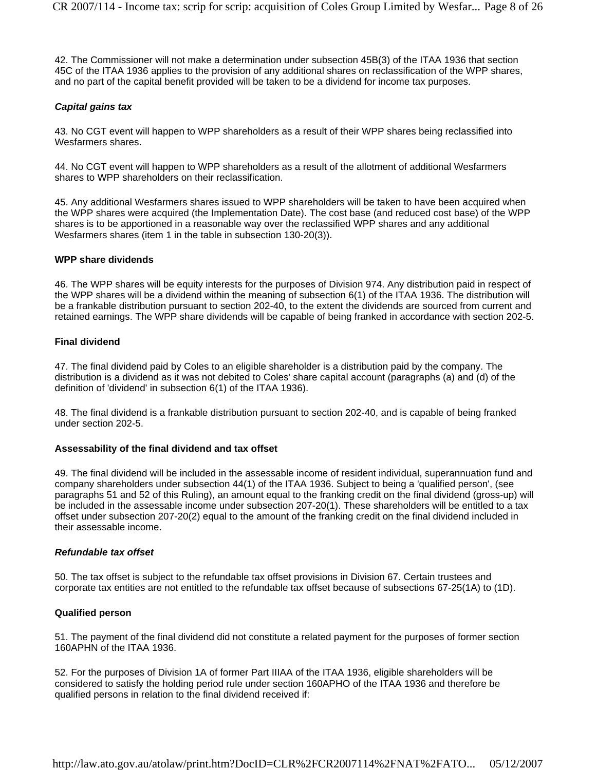42. The Commissioner will not make a determination under subsection 45B(3) of the ITAA 1936 that section 45C of the ITAA 1936 applies to the provision of any additional shares on reclassification of the WPP shares, and no part of the capital benefit provided will be taken to be a dividend for income tax purposes.

#### *Capital gains tax*

43. No CGT event will happen to WPP shareholders as a result of their WPP shares being reclassified into Wesfarmers shares

44. No CGT event will happen to WPP shareholders as a result of the allotment of additional Wesfarmers shares to WPP shareholders on their reclassification.

45. Any additional Wesfarmers shares issued to WPP shareholders will be taken to have been acquired when the WPP shares were acquired (the Implementation Date). The cost base (and reduced cost base) of the WPP shares is to be apportioned in a reasonable way over the reclassified WPP shares and any additional Wesfarmers shares (item 1 in the table in subsection 130-20(3)).

#### **WPP share dividends**

46. The WPP shares will be equity interests for the purposes of Division 974. Any distribution paid in respect of the WPP shares will be a dividend within the meaning of subsection 6(1) of the ITAA 1936. The distribution will be a frankable distribution pursuant to section 202-40, to the extent the dividends are sourced from current and retained earnings. The WPP share dividends will be capable of being franked in accordance with section 202-5.

#### **Final dividend**

47. The final dividend paid by Coles to an eligible shareholder is a distribution paid by the company. The distribution is a dividend as it was not debited to Coles' share capital account (paragraphs (a) and (d) of the definition of 'dividend' in subsection 6(1) of the ITAA 1936).

48. The final dividend is a frankable distribution pursuant to section 202-40, and is capable of being franked under section 202-5.

#### **Assessability of the final dividend and tax offset**

49. The final dividend will be included in the assessable income of resident individual, superannuation fund and company shareholders under subsection 44(1) of the ITAA 1936. Subject to being a 'qualified person', (see paragraphs 51 and 52 of this Ruling), an amount equal to the franking credit on the final dividend (gross-up) will be included in the assessable income under subsection 207-20(1). These shareholders will be entitled to a tax offset under subsection 207-20(2) equal to the amount of the franking credit on the final dividend included in their assessable income.

#### *Refundable tax offset*

50. The tax offset is subject to the refundable tax offset provisions in Division 67. Certain trustees and corporate tax entities are not entitled to the refundable tax offset because of subsections 67-25(1A) to (1D).

#### **Qualified person**

51. The payment of the final dividend did not constitute a related payment for the purposes of former section 160APHN of the ITAA 1936.

52. For the purposes of Division 1A of former Part IIIAA of the ITAA 1936, eligible shareholders will be considered to satisfy the holding period rule under section 160APHO of the ITAA 1936 and therefore be qualified persons in relation to the final dividend received if: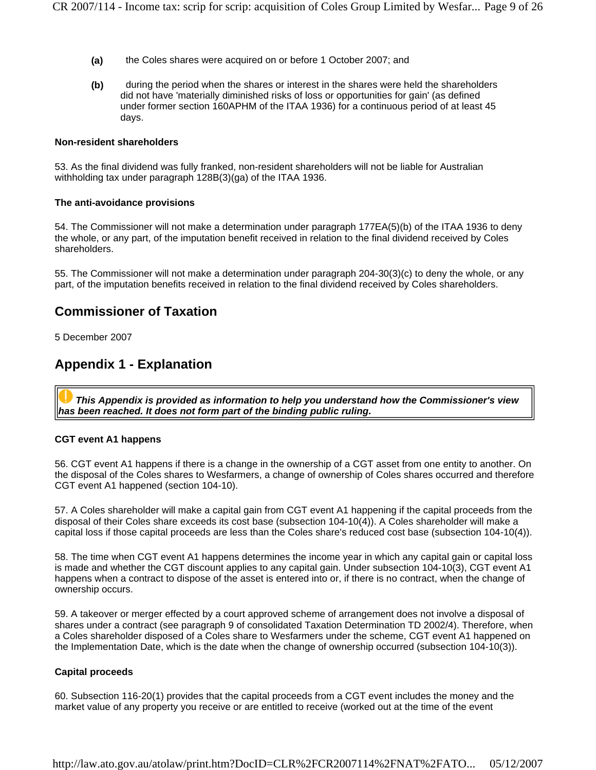- **(a)** the Coles shares were acquired on or before 1 October 2007; and
- **(b)** during the period when the shares or interest in the shares were held the shareholders did not have 'materially diminished risks of loss or opportunities for gain' (as defined under former section 160APHM of the ITAA 1936) for a continuous period of at least 45 days.

#### **Non-resident shareholders**

53. As the final dividend was fully franked, non-resident shareholders will not be liable for Australian withholding tax under paragraph 128B(3)(ga) of the ITAA 1936.

#### **The anti-avoidance provisions**

54. The Commissioner will not make a determination under paragraph 177EA(5)(b) of the ITAA 1936 to deny the whole, or any part, of the imputation benefit received in relation to the final dividend received by Coles shareholders.

55. The Commissioner will not make a determination under paragraph 204-30(3)(c) to deny the whole, or any part, of the imputation benefits received in relation to the final dividend received by Coles shareholders.

## **Commissioner of Taxation**

5 December 2007

## **Appendix 1 - Explanation**

*This Appendix is provided as information to help you understand how the Commissioner's view has been reached. It does not form part of the binding public ruling.*

#### **CGT event A1 happens**

56. CGT event A1 happens if there is a change in the ownership of a CGT asset from one entity to another. On the disposal of the Coles shares to Wesfarmers, a change of ownership of Coles shares occurred and therefore CGT event A1 happened (section 104-10).

57. A Coles shareholder will make a capital gain from CGT event A1 happening if the capital proceeds from the disposal of their Coles share exceeds its cost base (subsection 104-10(4)). A Coles shareholder will make a capital loss if those capital proceeds are less than the Coles share's reduced cost base (subsection 104-10(4)).

58. The time when CGT event A1 happens determines the income year in which any capital gain or capital loss is made and whether the CGT discount applies to any capital gain. Under subsection 104-10(3), CGT event A1 happens when a contract to dispose of the asset is entered into or, if there is no contract, when the change of ownership occurs.

59. A takeover or merger effected by a court approved scheme of arrangement does not involve a disposal of shares under a contract (see paragraph 9 of consolidated Taxation Determination TD 2002/4). Therefore, when a Coles shareholder disposed of a Coles share to Wesfarmers under the scheme, CGT event A1 happened on the Implementation Date, which is the date when the change of ownership occurred (subsection 104-10(3)).

#### **Capital proceeds**

60. Subsection 116-20(1) provides that the capital proceeds from a CGT event includes the money and the market value of any property you receive or are entitled to receive (worked out at the time of the event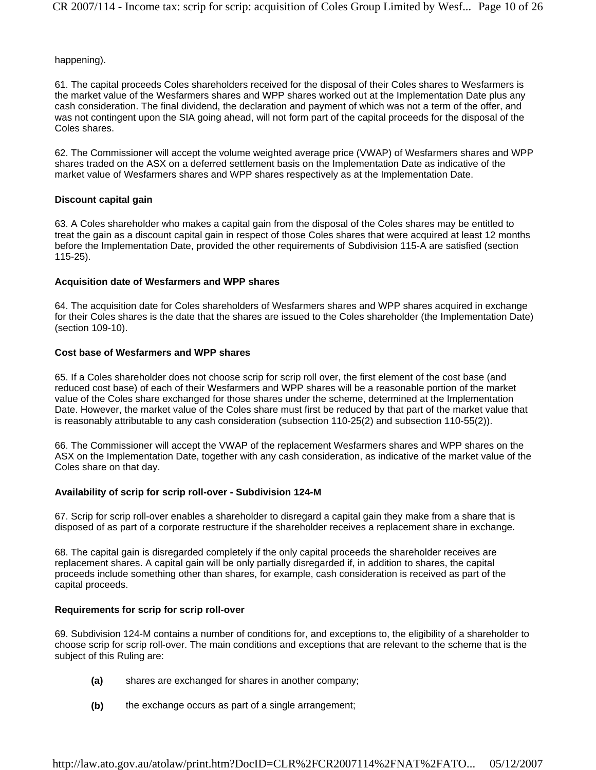happening).

61. The capital proceeds Coles shareholders received for the disposal of their Coles shares to Wesfarmers is the market value of the Wesfarmers shares and WPP shares worked out at the Implementation Date plus any cash consideration. The final dividend, the declaration and payment of which was not a term of the offer, and was not contingent upon the SIA going ahead, will not form part of the capital proceeds for the disposal of the Coles shares.

62. The Commissioner will accept the volume weighted average price (VWAP) of Wesfarmers shares and WPP shares traded on the ASX on a deferred settlement basis on the Implementation Date as indicative of the market value of Wesfarmers shares and WPP shares respectively as at the Implementation Date.

### **Discount capital gain**

63. A Coles shareholder who makes a capital gain from the disposal of the Coles shares may be entitled to treat the gain as a discount capital gain in respect of those Coles shares that were acquired at least 12 months before the Implementation Date, provided the other requirements of Subdivision 115-A are satisfied (section 115-25).

## **Acquisition date of Wesfarmers and WPP shares**

64. The acquisition date for Coles shareholders of Wesfarmers shares and WPP shares acquired in exchange for their Coles shares is the date that the shares are issued to the Coles shareholder (the Implementation Date) (section 109-10).

## **Cost base of Wesfarmers and WPP shares**

65. If a Coles shareholder does not choose scrip for scrip roll over, the first element of the cost base (and reduced cost base) of each of their Wesfarmers and WPP shares will be a reasonable portion of the market value of the Coles share exchanged for those shares under the scheme, determined at the Implementation Date. However, the market value of the Coles share must first be reduced by that part of the market value that is reasonably attributable to any cash consideration (subsection 110-25(2) and subsection 110-55(2)).

66. The Commissioner will accept the VWAP of the replacement Wesfarmers shares and WPP shares on the ASX on the Implementation Date, together with any cash consideration, as indicative of the market value of the Coles share on that day.

### **Availability of scrip for scrip roll-over - Subdivision 124-M**

67. Scrip for scrip roll-over enables a shareholder to disregard a capital gain they make from a share that is disposed of as part of a corporate restructure if the shareholder receives a replacement share in exchange.

68. The capital gain is disregarded completely if the only capital proceeds the shareholder receives are replacement shares. A capital gain will be only partially disregarded if, in addition to shares, the capital proceeds include something other than shares, for example, cash consideration is received as part of the capital proceeds.

### **Requirements for scrip for scrip roll-over**

69. Subdivision 124-M contains a number of conditions for, and exceptions to, the eligibility of a shareholder to choose scrip for scrip roll-over. The main conditions and exceptions that are relevant to the scheme that is the subject of this Ruling are:

- **(a)** shares are exchanged for shares in another company;
- **(b)** the exchange occurs as part of a single arrangement;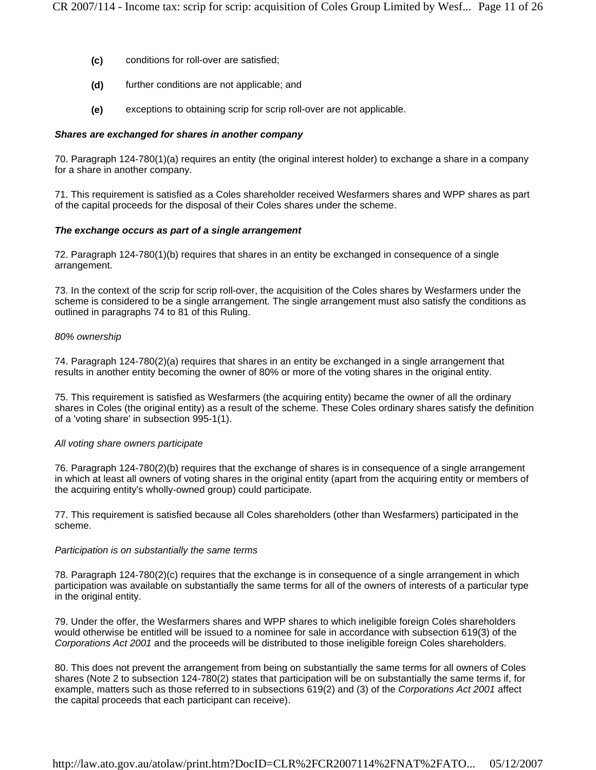- **(c)** conditions for roll-over are satisfied;
- **(d)** further conditions are not applicable; and
- **(e)** exceptions to obtaining scrip for scrip roll-over are not applicable.

#### *Shares are exchanged for shares in another company*

70. Paragraph 124-780(1)(a) requires an entity (the original interest holder) to exchange a share in a company for a share in another company.

71. This requirement is satisfied as a Coles shareholder received Wesfarmers shares and WPP shares as part of the capital proceeds for the disposal of their Coles shares under the scheme.

#### *The exchange occurs as part of a single arrangement*

72. Paragraph 124-780(1)(b) requires that shares in an entity be exchanged in consequence of a single arrangement.

73. In the context of the scrip for scrip roll-over, the acquisition of the Coles shares by Wesfarmers under the scheme is considered to be a single arrangement. The single arrangement must also satisfy the conditions as outlined in paragraphs 74 to 81 of this Ruling.

#### *80% ownership*

74. Paragraph 124-780(2)(a) requires that shares in an entity be exchanged in a single arrangement that results in another entity becoming the owner of 80% or more of the voting shares in the original entity.

75. This requirement is satisfied as Wesfarmers (the acquiring entity) became the owner of all the ordinary shares in Coles (the original entity) as a result of the scheme. These Coles ordinary shares satisfy the definition of a 'voting share' in subsection 995-1(1).

#### *All voting share owners participate*

76. Paragraph 124-780(2)(b) requires that the exchange of shares is in consequence of a single arrangement in which at least all owners of voting shares in the original entity (apart from the acquiring entity or members of the acquiring entity's wholly-owned group) could participate.

77. This requirement is satisfied because all Coles shareholders (other than Wesfarmers) participated in the scheme.

#### *Participation is on substantially the same terms*

78. Paragraph 124-780(2)(c) requires that the exchange is in consequence of a single arrangement in which participation was available on substantially the same terms for all of the owners of interests of a particular type in the original entity.

79. Under the offer, the Wesfarmers shares and WPP shares to which ineligible foreign Coles shareholders would otherwise be entitled will be issued to a nominee for sale in accordance with subsection 619(3) of the *Corporations Act 2001* and the proceeds will be distributed to those ineligible foreign Coles shareholders.

80. This does not prevent the arrangement from being on substantially the same terms for all owners of Coles shares (Note 2 to subsection 124-780(2) states that participation will be on substantially the same terms if, for example, matters such as those referred to in subsections 619(2) and (3) of the *Corporations Act 2001* affect the capital proceeds that each participant can receive).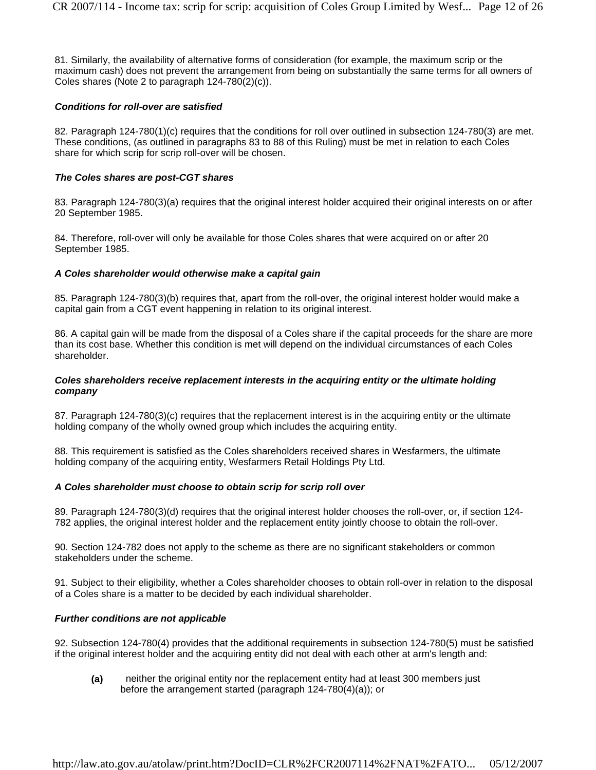81. Similarly, the availability of alternative forms of consideration (for example, the maximum scrip or the maximum cash) does not prevent the arrangement from being on substantially the same terms for all owners of Coles shares (Note 2 to paragraph 124-780(2)(c)).

#### *Conditions for roll-over are satisfied*

82. Paragraph 124-780(1)(c) requires that the conditions for roll over outlined in subsection 124-780(3) are met. These conditions, (as outlined in paragraphs 83 to 88 of this Ruling) must be met in relation to each Coles share for which scrip for scrip roll-over will be chosen.

#### *The Coles shares are post-CGT shares*

83. Paragraph 124-780(3)(a) requires that the original interest holder acquired their original interests on or after 20 September 1985.

84. Therefore, roll-over will only be available for those Coles shares that were acquired on or after 20 September 1985.

#### *A Coles shareholder would otherwise make a capital gain*

85. Paragraph 124-780(3)(b) requires that, apart from the roll-over, the original interest holder would make a capital gain from a CGT event happening in relation to its original interest.

86. A capital gain will be made from the disposal of a Coles share if the capital proceeds for the share are more than its cost base. Whether this condition is met will depend on the individual circumstances of each Coles shareholder.

#### *Coles shareholders receive replacement interests in the acquiring entity or the ultimate holding company*

87. Paragraph 124-780(3)(c) requires that the replacement interest is in the acquiring entity or the ultimate holding company of the wholly owned group which includes the acquiring entity.

88. This requirement is satisfied as the Coles shareholders received shares in Wesfarmers, the ultimate holding company of the acquiring entity, Wesfarmers Retail Holdings Pty Ltd.

#### *A Coles shareholder must choose to obtain scrip for scrip roll over*

89. Paragraph 124-780(3)(d) requires that the original interest holder chooses the roll-over, or, if section 124- 782 applies, the original interest holder and the replacement entity jointly choose to obtain the roll-over.

90. Section 124-782 does not apply to the scheme as there are no significant stakeholders or common stakeholders under the scheme.

91. Subject to their eligibility, whether a Coles shareholder chooses to obtain roll-over in relation to the disposal of a Coles share is a matter to be decided by each individual shareholder.

#### *Further conditions are not applicable*

92. Subsection 124-780(4) provides that the additional requirements in subsection 124-780(5) must be satisfied if the original interest holder and the acquiring entity did not deal with each other at arm's length and:

**(a)** neither the original entity nor the replacement entity had at least 300 members just before the arrangement started (paragraph 124-780(4)(a)); or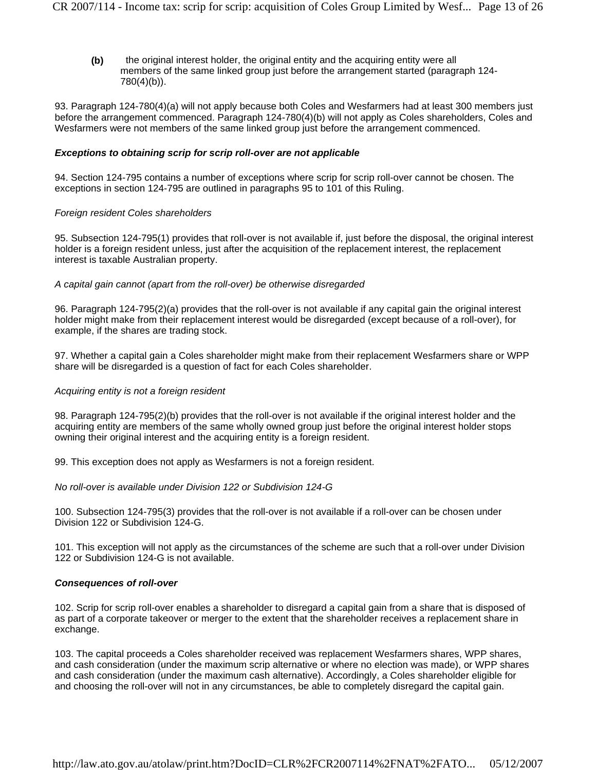**(b)** the original interest holder, the original entity and the acquiring entity were all members of the same linked group just before the arrangement started (paragraph 124- 780(4)(b)).

93. Paragraph 124-780(4)(a) will not apply because both Coles and Wesfarmers had at least 300 members just before the arrangement commenced. Paragraph 124-780(4)(b) will not apply as Coles shareholders, Coles and Wesfarmers were not members of the same linked group just before the arrangement commenced.

#### *Exceptions to obtaining scrip for scrip roll-over are not applicable*

94. Section 124-795 contains a number of exceptions where scrip for scrip roll-over cannot be chosen. The exceptions in section 124-795 are outlined in paragraphs 95 to 101 of this Ruling.

#### *Foreign resident Coles shareholders*

95. Subsection 124-795(1) provides that roll-over is not available if, just before the disposal, the original interest holder is a foreign resident unless, just after the acquisition of the replacement interest, the replacement interest is taxable Australian property.

#### *A capital gain cannot (apart from the roll-over) be otherwise disregarded*

96. Paragraph 124-795(2)(a) provides that the roll-over is not available if any capital gain the original interest holder might make from their replacement interest would be disregarded (except because of a roll-over), for example, if the shares are trading stock.

97. Whether a capital gain a Coles shareholder might make from their replacement Wesfarmers share or WPP share will be disregarded is a question of fact for each Coles shareholder.

#### *Acquiring entity is not a foreign resident*

98. Paragraph 124-795(2)(b) provides that the roll-over is not available if the original interest holder and the acquiring entity are members of the same wholly owned group just before the original interest holder stops owning their original interest and the acquiring entity is a foreign resident.

99. This exception does not apply as Wesfarmers is not a foreign resident.

#### *No roll-over is available under Division 122 or Subdivision 124-G*

100. Subsection 124-795(3) provides that the roll-over is not available if a roll-over can be chosen under Division 122 or Subdivision 124-G.

101. This exception will not apply as the circumstances of the scheme are such that a roll-over under Division 122 or Subdivision 124-G is not available.

#### *Consequences of roll-over*

102. Scrip for scrip roll-over enables a shareholder to disregard a capital gain from a share that is disposed of as part of a corporate takeover or merger to the extent that the shareholder receives a replacement share in exchange.

103. The capital proceeds a Coles shareholder received was replacement Wesfarmers shares, WPP shares, and cash consideration (under the maximum scrip alternative or where no election was made), or WPP shares and cash consideration (under the maximum cash alternative). Accordingly, a Coles shareholder eligible for and choosing the roll-over will not in any circumstances, be able to completely disregard the capital gain.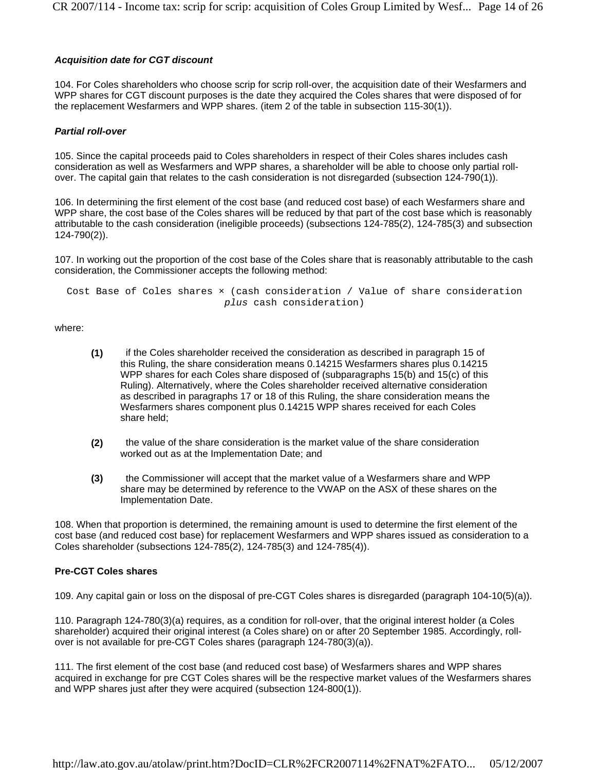#### *Acquisition date for CGT discount*

104. For Coles shareholders who choose scrip for scrip roll-over, the acquisition date of their Wesfarmers and WPP shares for CGT discount purposes is the date they acquired the Coles shares that were disposed of for the replacement Wesfarmers and WPP shares. (item 2 of the table in subsection 115-30(1)).

#### *Partial roll-over*

105. Since the capital proceeds paid to Coles shareholders in respect of their Coles shares includes cash consideration as well as Wesfarmers and WPP shares, a shareholder will be able to choose only partial rollover. The capital gain that relates to the cash consideration is not disregarded (subsection 124-790(1)).

106. In determining the first element of the cost base (and reduced cost base) of each Wesfarmers share and WPP share, the cost base of the Coles shares will be reduced by that part of the cost base which is reasonably attributable to the cash consideration (ineligible proceeds) (subsections 124-785(2), 124-785(3) and subsection 124-790(2)).

107. In working out the proportion of the cost base of the Coles share that is reasonably attributable to the cash consideration, the Commissioner accepts the following method:

Cost Base of Coles shares × (cash consideration / Value of share consideration *plus* cash consideration)

where:

- **(1)** if the Coles shareholder received the consideration as described in paragraph 15 of this Ruling, the share consideration means 0.14215 Wesfarmers shares plus 0.14215 WPP shares for each Coles share disposed of (subparagraphs 15(b) and 15(c) of this Ruling). Alternatively, where the Coles shareholder received alternative consideration as described in paragraphs 17 or 18 of this Ruling, the share consideration means the Wesfarmers shares component plus 0.14215 WPP shares received for each Coles share held;
- **(2)** the value of the share consideration is the market value of the share consideration worked out as at the Implementation Date; and
- **(3)** the Commissioner will accept that the market value of a Wesfarmers share and WPP share may be determined by reference to the VWAP on the ASX of these shares on the Implementation Date.

108. When that proportion is determined, the remaining amount is used to determine the first element of the cost base (and reduced cost base) for replacement Wesfarmers and WPP shares issued as consideration to a Coles shareholder (subsections 124-785(2), 124-785(3) and 124-785(4)).

#### **Pre-CGT Coles shares**

109. Any capital gain or loss on the disposal of pre-CGT Coles shares is disregarded (paragraph 104-10(5)(a)).

110. Paragraph 124-780(3)(a) requires, as a condition for roll-over, that the original interest holder (a Coles shareholder) acquired their original interest (a Coles share) on or after 20 September 1985. Accordingly, rollover is not available for pre-CGT Coles shares (paragraph 124-780(3)(a)).

111. The first element of the cost base (and reduced cost base) of Wesfarmers shares and WPP shares acquired in exchange for pre CGT Coles shares will be the respective market values of the Wesfarmers shares and WPP shares just after they were acquired (subsection 124-800(1)).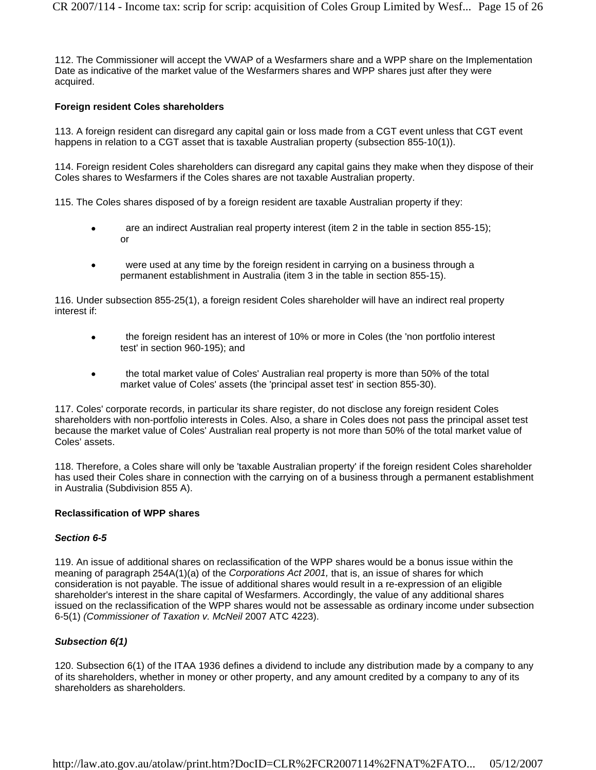112. The Commissioner will accept the VWAP of a Wesfarmers share and a WPP share on the Implementation Date as indicative of the market value of the Wesfarmers shares and WPP shares just after they were acquired.

#### **Foreign resident Coles shareholders**

113. A foreign resident can disregard any capital gain or loss made from a CGT event unless that CGT event happens in relation to a CGT asset that is taxable Australian property (subsection 855-10(1)).

114. Foreign resident Coles shareholders can disregard any capital gains they make when they dispose of their Coles shares to Wesfarmers if the Coles shares are not taxable Australian property.

115. The Coles shares disposed of by a foreign resident are taxable Australian property if they:

- are an indirect Australian real property interest (item 2 in the table in section 855-15); or
- were used at any time by the foreign resident in carrying on a business through a permanent establishment in Australia (item 3 in the table in section 855-15).

116. Under subsection 855-25(1), a foreign resident Coles shareholder will have an indirect real property interest if:

- the foreign resident has an interest of 10% or more in Coles (the 'non portfolio interest test' in section 960-195); and
- the total market value of Coles' Australian real property is more than 50% of the total market value of Coles' assets (the 'principal asset test' in section 855-30).

117. Coles' corporate records, in particular its share register, do not disclose any foreign resident Coles shareholders with non-portfolio interests in Coles. Also, a share in Coles does not pass the principal asset test because the market value of Coles' Australian real property is not more than 50% of the total market value of Coles' assets.

118. Therefore, a Coles share will only be 'taxable Australian property' if the foreign resident Coles shareholder has used their Coles share in connection with the carrying on of a business through a permanent establishment in Australia (Subdivision 855 A).

#### **Reclassification of WPP shares**

#### *Section 6-5*

119. An issue of additional shares on reclassification of the WPP shares would be a bonus issue within the meaning of paragraph 254A(1)(a) of the *Corporations Act 2001,* that is, an issue of shares for which consideration is not payable. The issue of additional shares would result in a re-expression of an eligible shareholder's interest in the share capital of Wesfarmers. Accordingly, the value of any additional shares issued on the reclassification of the WPP shares would not be assessable as ordinary income under subsection 6-5(1) *(Commissioner of Taxation v. McNeil* 2007 ATC 4223).

#### *Subsection 6(1)*

120. Subsection 6(1) of the ITAA 1936 defines a dividend to include any distribution made by a company to any of its shareholders, whether in money or other property, and any amount credited by a company to any of its shareholders as shareholders.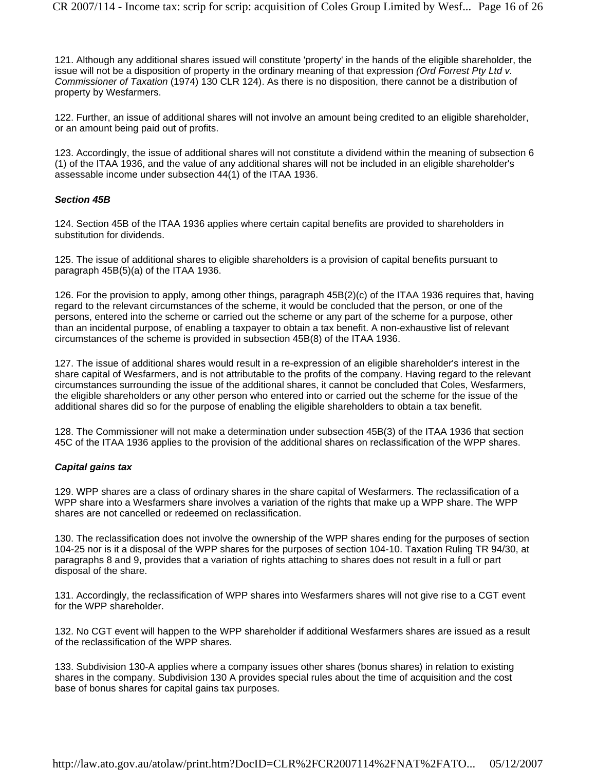121. Although any additional shares issued will constitute 'property' in the hands of the eligible shareholder, the issue will not be a disposition of property in the ordinary meaning of that expression *(Ord Forrest Pty Ltd v. Commissioner of Taxation* (1974) 130 CLR 124). As there is no disposition, there cannot be a distribution of property by Wesfarmers.

122. Further, an issue of additional shares will not involve an amount being credited to an eligible shareholder, or an amount being paid out of profits.

123. Accordingly, the issue of additional shares will not constitute a dividend within the meaning of subsection 6 (1) of the ITAA 1936, and the value of any additional shares will not be included in an eligible shareholder's assessable income under subsection 44(1) of the ITAA 1936.

#### *Section 45B*

124. Section 45B of the ITAA 1936 applies where certain capital benefits are provided to shareholders in substitution for dividends.

125. The issue of additional shares to eligible shareholders is a provision of capital benefits pursuant to paragraph 45B(5)(a) of the ITAA 1936.

126. For the provision to apply, among other things, paragraph 45B(2)(c) of the ITAA 1936 requires that, having regard to the relevant circumstances of the scheme, it would be concluded that the person, or one of the persons, entered into the scheme or carried out the scheme or any part of the scheme for a purpose, other than an incidental purpose, of enabling a taxpayer to obtain a tax benefit. A non-exhaustive list of relevant circumstances of the scheme is provided in subsection 45B(8) of the ITAA 1936.

127. The issue of additional shares would result in a re-expression of an eligible shareholder's interest in the share capital of Wesfarmers, and is not attributable to the profits of the company. Having regard to the relevant circumstances surrounding the issue of the additional shares, it cannot be concluded that Coles, Wesfarmers, the eligible shareholders or any other person who entered into or carried out the scheme for the issue of the additional shares did so for the purpose of enabling the eligible shareholders to obtain a tax benefit.

128. The Commissioner will not make a determination under subsection 45B(3) of the ITAA 1936 that section 45C of the ITAA 1936 applies to the provision of the additional shares on reclassification of the WPP shares.

#### *Capital gains tax*

129. WPP shares are a class of ordinary shares in the share capital of Wesfarmers. The reclassification of a WPP share into a Wesfarmers share involves a variation of the rights that make up a WPP share. The WPP shares are not cancelled or redeemed on reclassification.

130. The reclassification does not involve the ownership of the WPP shares ending for the purposes of section 104-25 nor is it a disposal of the WPP shares for the purposes of section 104-10. Taxation Ruling TR 94/30, at paragraphs 8 and 9, provides that a variation of rights attaching to shares does not result in a full or part disposal of the share.

131. Accordingly, the reclassification of WPP shares into Wesfarmers shares will not give rise to a CGT event for the WPP shareholder.

132. No CGT event will happen to the WPP shareholder if additional Wesfarmers shares are issued as a result of the reclassification of the WPP shares.

133. Subdivision 130-A applies where a company issues other shares (bonus shares) in relation to existing shares in the company. Subdivision 130 A provides special rules about the time of acquisition and the cost base of bonus shares for capital gains tax purposes.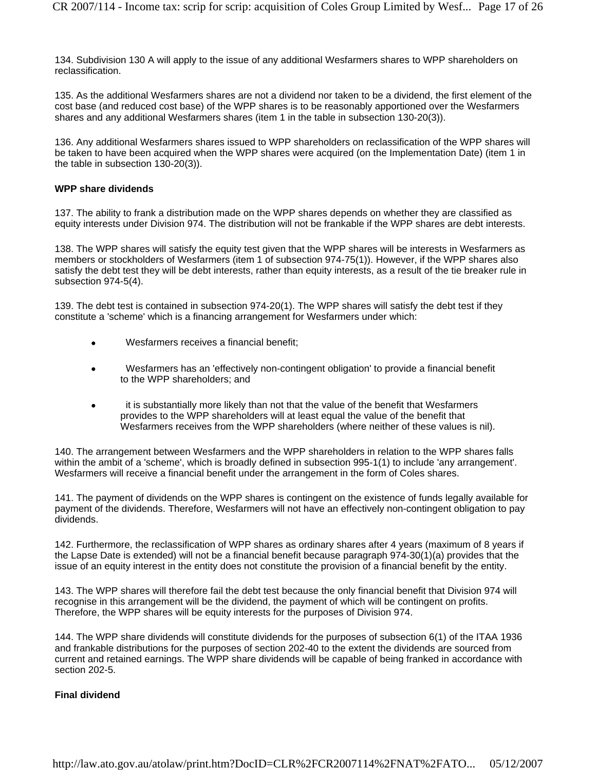134. Subdivision 130 A will apply to the issue of any additional Wesfarmers shares to WPP shareholders on reclassification.

135. As the additional Wesfarmers shares are not a dividend nor taken to be a dividend, the first element of the cost base (and reduced cost base) of the WPP shares is to be reasonably apportioned over the Wesfarmers shares and any additional Wesfarmers shares (item 1 in the table in subsection 130-20(3)).

136. Any additional Wesfarmers shares issued to WPP shareholders on reclassification of the WPP shares will be taken to have been acquired when the WPP shares were acquired (on the Implementation Date) (item 1 in the table in subsection 130-20(3)).

#### **WPP share dividends**

137. The ability to frank a distribution made on the WPP shares depends on whether they are classified as equity interests under Division 974. The distribution will not be frankable if the WPP shares are debt interests.

138. The WPP shares will satisfy the equity test given that the WPP shares will be interests in Wesfarmers as members or stockholders of Wesfarmers (item 1 of subsection 974-75(1)). However, if the WPP shares also satisfy the debt test they will be debt interests, rather than equity interests, as a result of the tie breaker rule in subsection 974-5(4).

139. The debt test is contained in subsection 974-20(1). The WPP shares will satisfy the debt test if they constitute a 'scheme' which is a financing arrangement for Wesfarmers under which:

- Wesfarmers receives a financial benefit;
- Wesfarmers has an 'effectively non-contingent obligation' to provide a financial benefit to the WPP shareholders; and
- it is substantially more likely than not that the value of the benefit that Wesfarmers provides to the WPP shareholders will at least equal the value of the benefit that Wesfarmers receives from the WPP shareholders (where neither of these values is nil).

140. The arrangement between Wesfarmers and the WPP shareholders in relation to the WPP shares falls within the ambit of a 'scheme', which is broadly defined in subsection 995-1(1) to include 'any arrangement'. Wesfarmers will receive a financial benefit under the arrangement in the form of Coles shares.

141. The payment of dividends on the WPP shares is contingent on the existence of funds legally available for payment of the dividends. Therefore, Wesfarmers will not have an effectively non-contingent obligation to pay dividends.

142. Furthermore, the reclassification of WPP shares as ordinary shares after 4 years (maximum of 8 years if the Lapse Date is extended) will not be a financial benefit because paragraph 974-30(1)(a) provides that the issue of an equity interest in the entity does not constitute the provision of a financial benefit by the entity.

143. The WPP shares will therefore fail the debt test because the only financial benefit that Division 974 will recognise in this arrangement will be the dividend, the payment of which will be contingent on profits. Therefore, the WPP shares will be equity interests for the purposes of Division 974.

144. The WPP share dividends will constitute dividends for the purposes of subsection 6(1) of the ITAA 1936 and frankable distributions for the purposes of section 202-40 to the extent the dividends are sourced from current and retained earnings. The WPP share dividends will be capable of being franked in accordance with section 202-5.

#### **Final dividend**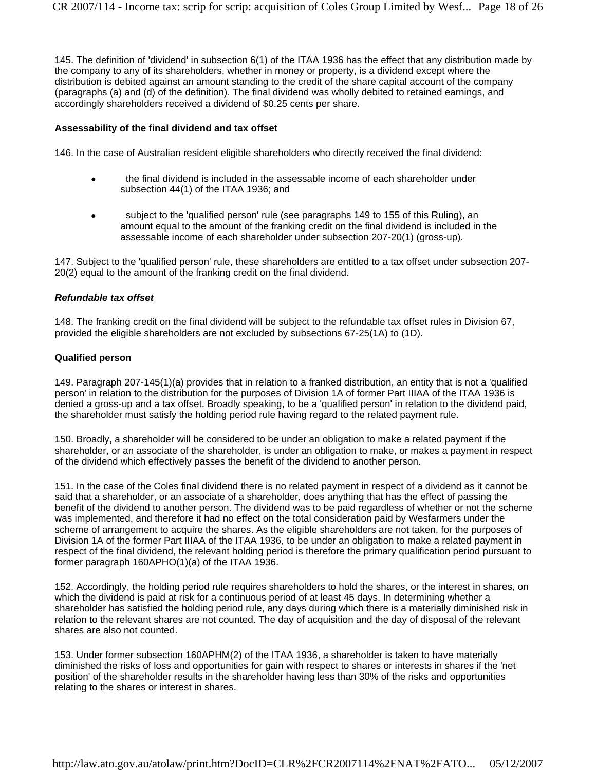145. The definition of 'dividend' in subsection 6(1) of the ITAA 1936 has the effect that any distribution made by the company to any of its shareholders, whether in money or property, is a dividend except where the distribution is debited against an amount standing to the credit of the share capital account of the company (paragraphs (a) and (d) of the definition). The final dividend was wholly debited to retained earnings, and accordingly shareholders received a dividend of \$0.25 cents per share.

#### **Assessability of the final dividend and tax offset**

146. In the case of Australian resident eligible shareholders who directly received the final dividend:

- the final dividend is included in the assessable income of each shareholder under subsection 44(1) of the ITAA 1936; and
- subject to the 'qualified person' rule (see paragraphs 149 to 155 of this Ruling), an amount equal to the amount of the franking credit on the final dividend is included in the assessable income of each shareholder under subsection 207-20(1) (gross-up).

147. Subject to the 'qualified person' rule, these shareholders are entitled to a tax offset under subsection 207- 20(2) equal to the amount of the franking credit on the final dividend.

#### *Refundable tax offset*

148. The franking credit on the final dividend will be subject to the refundable tax offset rules in Division 67, provided the eligible shareholders are not excluded by subsections 67-25(1A) to (1D).

#### **Qualified person**

149. Paragraph 207-145(1)(a) provides that in relation to a franked distribution, an entity that is not a 'qualified person' in relation to the distribution for the purposes of Division 1A of former Part IIIAA of the ITAA 1936 is denied a gross-up and a tax offset. Broadly speaking, to be a 'qualified person' in relation to the dividend paid, the shareholder must satisfy the holding period rule having regard to the related payment rule.

150. Broadly, a shareholder will be considered to be under an obligation to make a related payment if the shareholder, or an associate of the shareholder, is under an obligation to make, or makes a payment in respect of the dividend which effectively passes the benefit of the dividend to another person.

151. In the case of the Coles final dividend there is no related payment in respect of a dividend as it cannot be said that a shareholder, or an associate of a shareholder, does anything that has the effect of passing the benefit of the dividend to another person. The dividend was to be paid regardless of whether or not the scheme was implemented, and therefore it had no effect on the total consideration paid by Wesfarmers under the scheme of arrangement to acquire the shares. As the eligible shareholders are not taken, for the purposes of Division 1A of the former Part IIIAA of the ITAA 1936, to be under an obligation to make a related payment in respect of the final dividend, the relevant holding period is therefore the primary qualification period pursuant to former paragraph 160APHO(1)(a) of the ITAA 1936.

152. Accordingly, the holding period rule requires shareholders to hold the shares, or the interest in shares, on which the dividend is paid at risk for a continuous period of at least 45 days. In determining whether a shareholder has satisfied the holding period rule, any days during which there is a materially diminished risk in relation to the relevant shares are not counted. The day of acquisition and the day of disposal of the relevant shares are also not counted.

153. Under former subsection 160APHM(2) of the ITAA 1936, a shareholder is taken to have materially diminished the risks of loss and opportunities for gain with respect to shares or interests in shares if the 'net position' of the shareholder results in the shareholder having less than 30% of the risks and opportunities relating to the shares or interest in shares.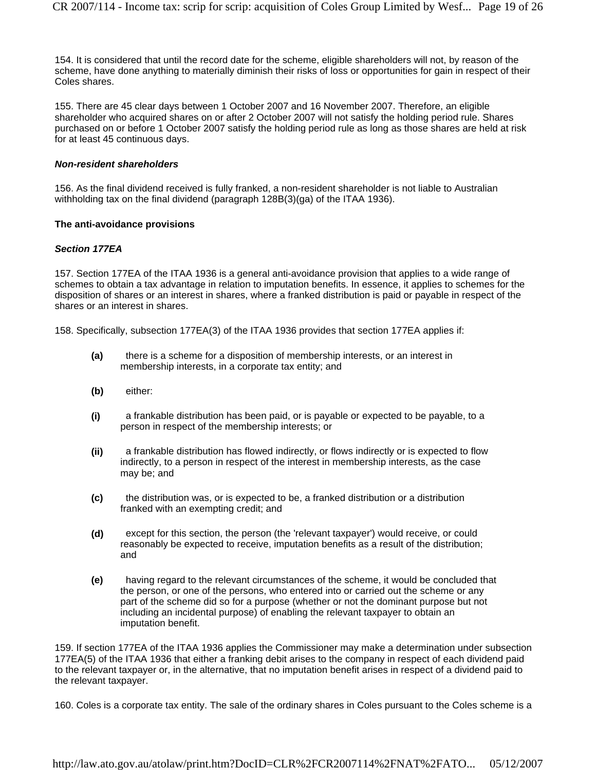154. It is considered that until the record date for the scheme, eligible shareholders will not, by reason of the scheme, have done anything to materially diminish their risks of loss or opportunities for gain in respect of their Coles shares.

155. There are 45 clear days between 1 October 2007 and 16 November 2007. Therefore, an eligible shareholder who acquired shares on or after 2 October 2007 will not satisfy the holding period rule. Shares purchased on or before 1 October 2007 satisfy the holding period rule as long as those shares are held at risk for at least 45 continuous days.

#### *Non-resident shareholders*

156. As the final dividend received is fully franked, a non-resident shareholder is not liable to Australian withholding tax on the final dividend (paragraph 128B(3)(ga) of the ITAA 1936).

#### **The anti-avoidance provisions**

#### *Section 177EA*

157. Section 177EA of the ITAA 1936 is a general anti-avoidance provision that applies to a wide range of schemes to obtain a tax advantage in relation to imputation benefits. In essence, it applies to schemes for the disposition of shares or an interest in shares, where a franked distribution is paid or payable in respect of the shares or an interest in shares.

158. Specifically, subsection 177EA(3) of the ITAA 1936 provides that section 177EA applies if:

- **(a)** there is a scheme for a disposition of membership interests, or an interest in membership interests, in a corporate tax entity; and
- **(b)** either:
- **(i)** a frankable distribution has been paid, or is payable or expected to be payable, to a person in respect of the membership interests; or
- **(ii)** a frankable distribution has flowed indirectly, or flows indirectly or is expected to flow indirectly, to a person in respect of the interest in membership interests, as the case may be; and
- **(c)** the distribution was, or is expected to be, a franked distribution or a distribution franked with an exempting credit; and
- **(d)** except for this section, the person (the 'relevant taxpayer') would receive, or could reasonably be expected to receive, imputation benefits as a result of the distribution; and
- **(e)** having regard to the relevant circumstances of the scheme, it would be concluded that the person, or one of the persons, who entered into or carried out the scheme or any part of the scheme did so for a purpose (whether or not the dominant purpose but not including an incidental purpose) of enabling the relevant taxpayer to obtain an imputation benefit.

159. If section 177EA of the ITAA 1936 applies the Commissioner may make a determination under subsection 177EA(5) of the ITAA 1936 that either a franking debit arises to the company in respect of each dividend paid to the relevant taxpayer or, in the alternative, that no imputation benefit arises in respect of a dividend paid to the relevant taxpayer.

160. Coles is a corporate tax entity. The sale of the ordinary shares in Coles pursuant to the Coles scheme is a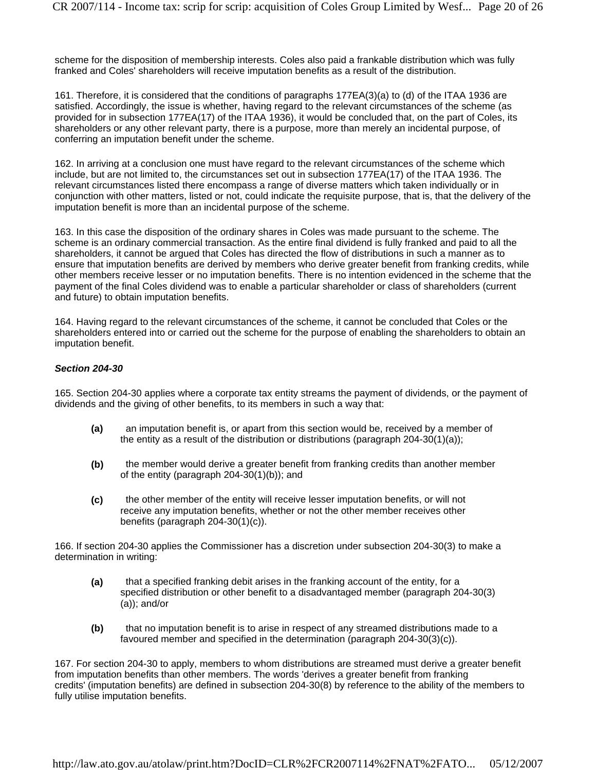scheme for the disposition of membership interests. Coles also paid a frankable distribution which was fully franked and Coles' shareholders will receive imputation benefits as a result of the distribution.

161. Therefore, it is considered that the conditions of paragraphs 177EA(3)(a) to (d) of the ITAA 1936 are satisfied. Accordingly, the issue is whether, having regard to the relevant circumstances of the scheme (as provided for in subsection 177EA(17) of the ITAA 1936), it would be concluded that, on the part of Coles, its shareholders or any other relevant party, there is a purpose, more than merely an incidental purpose, of conferring an imputation benefit under the scheme.

162. In arriving at a conclusion one must have regard to the relevant circumstances of the scheme which include, but are not limited to, the circumstances set out in subsection 177EA(17) of the ITAA 1936. The relevant circumstances listed there encompass a range of diverse matters which taken individually or in conjunction with other matters, listed or not, could indicate the requisite purpose, that is, that the delivery of the imputation benefit is more than an incidental purpose of the scheme.

163. In this case the disposition of the ordinary shares in Coles was made pursuant to the scheme. The scheme is an ordinary commercial transaction. As the entire final dividend is fully franked and paid to all the shareholders, it cannot be argued that Coles has directed the flow of distributions in such a manner as to ensure that imputation benefits are derived by members who derive greater benefit from franking credits, while other members receive lesser or no imputation benefits. There is no intention evidenced in the scheme that the payment of the final Coles dividend was to enable a particular shareholder or class of shareholders (current and future) to obtain imputation benefits.

164. Having regard to the relevant circumstances of the scheme, it cannot be concluded that Coles or the shareholders entered into or carried out the scheme for the purpose of enabling the shareholders to obtain an imputation benefit.

#### *Section 204-30*

165. Section 204-30 applies where a corporate tax entity streams the payment of dividends, or the payment of dividends and the giving of other benefits, to its members in such a way that:

- **(a)** an imputation benefit is, or apart from this section would be, received by a member of the entity as a result of the distribution or distributions (paragraph  $204-30(1)(a)$ );
- **(b)** the member would derive a greater benefit from franking credits than another member of the entity (paragraph 204-30(1)(b)); and
- **(c)** the other member of the entity will receive lesser imputation benefits, or will not receive any imputation benefits, whether or not the other member receives other benefits (paragraph 204-30(1)(c)).

166. If section 204-30 applies the Commissioner has a discretion under subsection 204-30(3) to make a determination in writing:

- **(a)** that a specified franking debit arises in the franking account of the entity, for a specified distribution or other benefit to a disadvantaged member (paragraph 204-30(3) (a)); and/or
- **(b)** that no imputation benefit is to arise in respect of any streamed distributions made to a favoured member and specified in the determination (paragraph 204-30(3)(c)).

167. For section 204-30 to apply, members to whom distributions are streamed must derive a greater benefit from imputation benefits than other members. The words 'derives a greater benefit from franking credits' (imputation benefits) are defined in subsection 204-30(8) by reference to the ability of the members to fully utilise imputation benefits.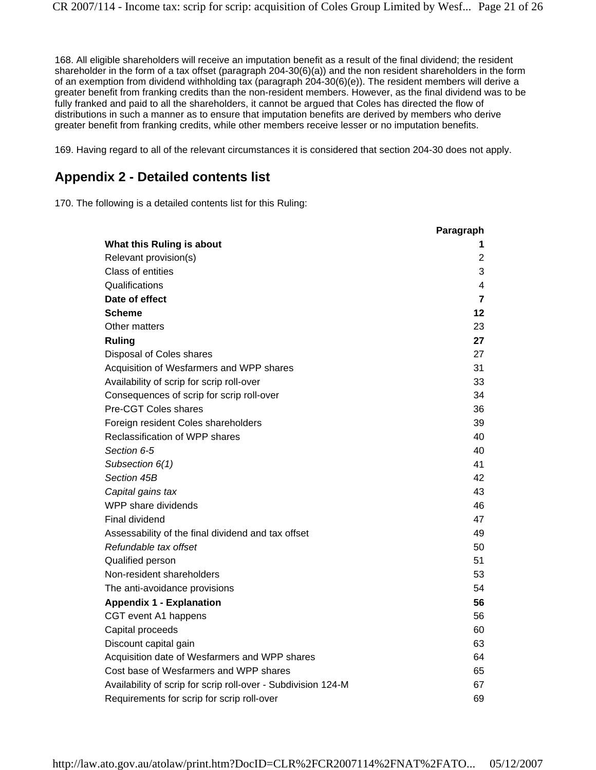168. All eligible shareholders will receive an imputation benefit as a result of the final dividend; the resident shareholder in the form of a tax offset (paragraph 204-30(6)(a)) and the non resident shareholders in the form of an exemption from dividend withholding tax (paragraph 204-30(6)(e)). The resident members will derive a greater benefit from franking credits than the non-resident members. However, as the final dividend was to be fully franked and paid to all the shareholders, it cannot be argued that Coles has directed the flow of distributions in such a manner as to ensure that imputation benefits are derived by members who derive greater benefit from franking credits, while other members receive lesser or no imputation benefits.

169. Having regard to all of the relevant circumstances it is considered that section 204-30 does not apply.

# **Appendix 2 - Detailed contents list**

170. The following is a detailed contents list for this Ruling:

|                                                               | Paragraph      |
|---------------------------------------------------------------|----------------|
| What this Ruling is about                                     | 1              |
| Relevant provision(s)                                         | $\overline{2}$ |
| Class of entities                                             | 3              |
| Qualifications                                                | 4              |
| Date of effect                                                | 7              |
| <b>Scheme</b>                                                 | 12             |
| Other matters                                                 | 23             |
| <b>Ruling</b>                                                 | 27             |
| Disposal of Coles shares                                      | 27             |
| Acquisition of Wesfarmers and WPP shares                      | 31             |
| Availability of scrip for scrip roll-over                     | 33             |
| Consequences of scrip for scrip roll-over                     | 34             |
| Pre-CGT Coles shares                                          | 36             |
| Foreign resident Coles shareholders                           | 39             |
| Reclassification of WPP shares                                | 40             |
| Section 6-5                                                   | 40             |
| Subsection 6(1)                                               | 41             |
| Section 45B                                                   | 42             |
| Capital gains tax                                             | 43             |
| WPP share dividends                                           | 46             |
| Final dividend                                                | 47             |
| Assessability of the final dividend and tax offset            | 49             |
| Refundable tax offset                                         | 50             |
| Qualified person                                              | 51             |
| Non-resident shareholders                                     | 53             |
| The anti-avoidance provisions                                 | 54             |
| <b>Appendix 1 - Explanation</b>                               | 56             |
| CGT event A1 happens                                          | 56             |
| Capital proceeds                                              | 60             |
| Discount capital gain                                         | 63             |
| Acquisition date of Wesfarmers and WPP shares                 | 64             |
| Cost base of Wesfarmers and WPP shares                        | 65             |
| Availability of scrip for scrip roll-over - Subdivision 124-M | 67             |
| Requirements for scrip for scrip roll-over                    | 69             |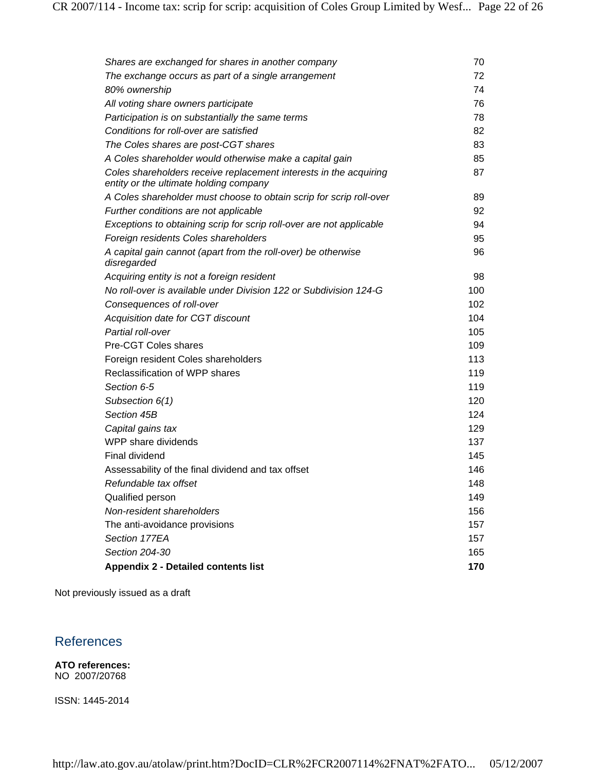| Shares are exchanged for shares in another company                                                          | 70  |
|-------------------------------------------------------------------------------------------------------------|-----|
| The exchange occurs as part of a single arrangement                                                         | 72  |
| 80% ownership                                                                                               | 74  |
| All voting share owners participate                                                                         | 76  |
| Participation is on substantially the same terms                                                            | 78  |
| Conditions for roll-over are satisfied                                                                      | 82  |
| The Coles shares are post-CGT shares                                                                        | 83  |
| A Coles shareholder would otherwise make a capital gain                                                     | 85  |
| Coles shareholders receive replacement interests in the acquiring<br>entity or the ultimate holding company | 87  |
| A Coles shareholder must choose to obtain scrip for scrip roll-over                                         | 89  |
| Further conditions are not applicable                                                                       | 92  |
| Exceptions to obtaining scrip for scrip roll-over are not applicable                                        | 94  |
| Foreign residents Coles shareholders                                                                        | 95  |
| A capital gain cannot (apart from the roll-over) be otherwise<br>disregarded                                | 96  |
| Acquiring entity is not a foreign resident                                                                  | 98  |
| No roll-over is available under Division 122 or Subdivision 124-G                                           | 100 |
| Consequences of roll-over                                                                                   | 102 |
| Acquisition date for CGT discount                                                                           | 104 |
| Partial roll-over                                                                                           | 105 |
| Pre-CGT Coles shares                                                                                        | 109 |
| Foreign resident Coles shareholders                                                                         | 113 |
| Reclassification of WPP shares                                                                              | 119 |
| Section 6-5                                                                                                 | 119 |
| Subsection 6(1)                                                                                             | 120 |
| Section 45B                                                                                                 | 124 |
| Capital gains tax                                                                                           | 129 |
| WPP share dividends                                                                                         | 137 |
| <b>Final dividend</b>                                                                                       | 145 |
| Assessability of the final dividend and tax offset                                                          | 146 |
| Refundable tax offset                                                                                       | 148 |
| Qualified person                                                                                            | 149 |
| Non-resident shareholders                                                                                   | 156 |
| The anti-avoidance provisions                                                                               | 157 |
| Section 177EA                                                                                               | 157 |
| Section 204-30                                                                                              | 165 |
| <b>Appendix 2 - Detailed contents list</b>                                                                  | 170 |

Not previously issued as a draft

# References

**ATO references:** NO 2007/20768

ISSN: 1445-2014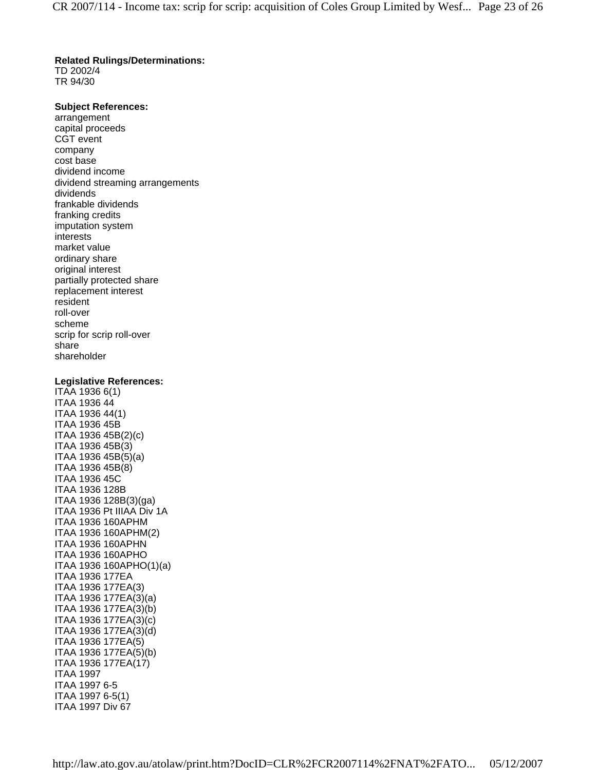#### **Related Rulings/Determinations:**

TD 2002/4 TR 94/30

#### **Subject References:**

arrangement capital proceeds CGT event company cost base dividend income dividend streaming arrangements dividends frankable dividends franking credits imputation system interests market value ordinary share original interest partially protected share replacement interest resident roll-over scheme scrip for scrip roll-over share shareholder

#### **Legislative References:**

ITAA 1936 6(1) ITAA 1936 44 ITAA 1936 44(1) ITAA 1936 45B ITAA 1936 45B(2)(c) ITAA 1936 45B(3) ITAA 1936 45B(5)(a) ITAA 1936 45B(8) ITAA 1936 45C ITAA 1936 128B ITAA 1936 128B(3)(ga) ITAA 1936 Pt IIIAA Div 1A ITAA 1936 160APHM ITAA 1936 160APHM(2) ITAA 1936 160APHN ITAA 1936 160APHO ITAA 1936 160APHO(1)(a) ITAA 1936 177EA ITAA 1936 177EA(3) ITAA 1936 177EA(3)(a) ITAA 1936 177EA(3)(b) ITAA 1936 177EA(3)(c) ITAA 1936 177EA(3)(d) ITAA 1936 177EA(5) ITAA 1936 177EA(5)(b) ITAA 1936 177EA(17) ITAA 1997 ITAA 1997 6-5 ITAA 1997 6-5(1) ITAA 1997 Div 67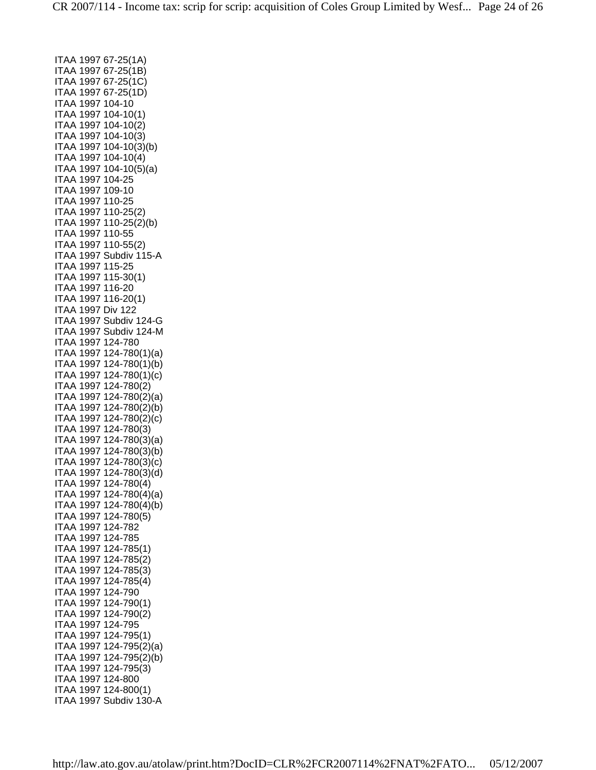ITAA 1997 67-25(1A) ITAA 1997 67-25(1B) ITAA 1997 67-25(1C) ITAA 1997 67-25(1D) ITAA 1997 104-10 ITAA 1997 104-10(1) ITAA 1997 104-10(2) ITAA 1997 104-10(3) ITAA 1997 104-10(3)(b) ITAA 1997 104-10(4) ITAA 1997 104-10(5)(a) ITAA 1997 104-25 ITAA 1997 109-10 ITAA 1997 110-25 ITAA 1997 110-25(2) ITAA 1997 110-25(2)(b) ITAA 1997 110-55 ITAA 1997 110-55(2) ITAA 1997 Subdiv 115-A ITAA 1997 115-25 ITAA 1997 115-30(1) ITAA 1997 116-20 ITAA 1997 116-20(1) ITAA 1997 Div 122 ITAA 1997 Subdiv 124-G ITAA 1997 Subdiv 124-M ITAA 1997 124-780 ITAA 1997 124-780(1)(a) ITAA 1997 124-780(1)(b) ITAA 1997 124-780(1)(c) ITAA 1997 124-780(2) ITAA 1997 124-780(2)(a) ITAA 1997 124-780(2)(b) ITAA 1997 124-780(2)(c) ITAA 1997 124-780(3) ITAA 1997 124-780(3)(a) ITAA 1997 124-780(3)(b) ITAA 1997 124-780(3)(c) ITAA 1997 124-780(3)(d) ITAA 1997 124-780(4) ITAA 1997 124-780(4)(a) ITAA 1997 124-780(4)(b) ITAA 1997 124-780(5) ITAA 1997 124-782 ITAA 1997 124-785 ITAA 1997 124-785(1) ITAA 1997 124-785(2) ITAA 1997 124-785(3) ITAA 1997 124-785(4) ITAA 1997 124-790 ITAA 1997 124-790(1) ITAA 1997 124-790(2) ITAA 1997 124-795 ITAA 1997 124-795(1) ITAA 1997 124-795(2)(a) ITAA 1997 124-795(2)(b) ITAA 1997 124-795(3) ITAA 1997 124-800 ITAA 1997 124-800(1) ITAA 1997 Subdiv 130-A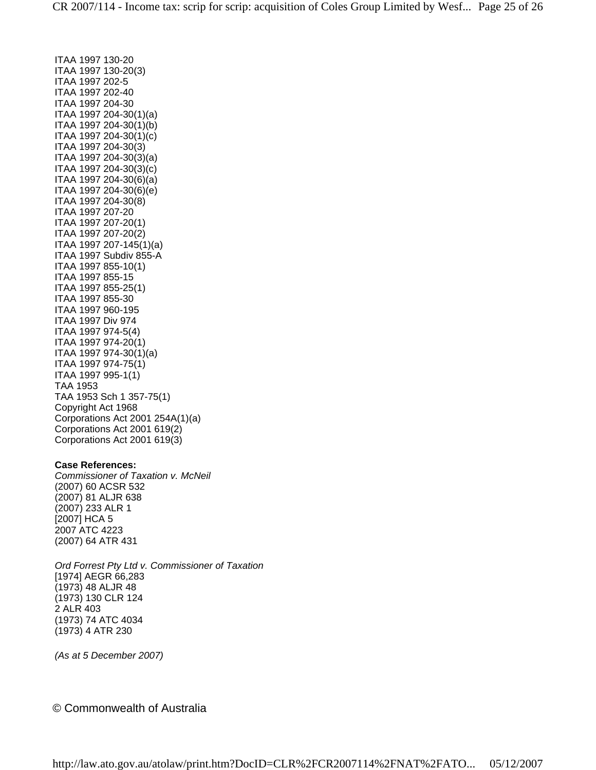ITAA 1997 130-20 ITAA 1997 130-20(3) ITAA 1997 202-5 ITAA 1997 202-40 ITAA 1997 204-30 ITAA 1997 204-30(1)(a) ITAA 1997 204-30(1)(b) ITAA 1997 204-30(1)(c) ITAA 1997 204-30(3) ITAA 1997 204-30(3)(a) ITAA 1997 204-30(3)(c) ITAA 1997 204-30(6)(a) ITAA 1997 204-30(6)(e) ITAA 1997 204-30(8) ITAA 1997 207-20 ITAA 1997 207-20(1) ITAA 1997 207-20(2) ITAA 1997 207-145(1)(a) ITAA 1997 Subdiv 855-A ITAA 1997 855-10(1) ITAA 1997 855-15 ITAA 1997 855-25(1) ITAA 1997 855-30 ITAA 1997 960-195 ITAA 1997 Div 974 ITAA 1997 974-5(4) ITAA 1997 974-20(1) ITAA 1997 974-30(1)(a) ITAA 1997 974-75(1) ITAA 1997 995-1(1) TAA 1953 TAA 1953 Sch 1 357-75(1) Copyright Act 1968 Corporations Act 2001 254A(1)(a) Corporations Act 2001 619(2) Corporations Act 2001 619(3)

#### **Case References:**

*Commissioner of Taxation v. McNeil* (2007) 60 ACSR 532 (2007) 81 ALJR 638 (2007) 233 ALR 1 [2007] HCA 5 2007 ATC 4223 (2007) 64 ATR 431

*Ord Forrest Pty Ltd v. Commissioner of Taxation* [1974] AEGR 66,283 (1973) 48 ALJR 48 (1973) 130 CLR 124 2 ALR 403 (1973) 74 ATC 4034 (1973) 4 ATR 230

*(As at 5 December 2007)*

### © Commonwealth of Australia